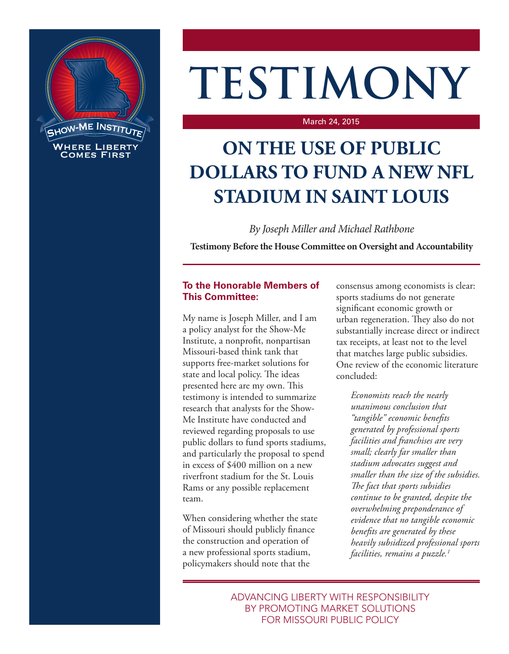

# **TESTIMONY**

#### March 24, 2015

# **ON THE USE OF PUBLIC DOLLARS TO FUND A NEW NFL STADIUM IN SAINT LOUIS**

*By Joseph Miller and Michael Rathbone* **Testimony Before the House Committee on Oversight and Accountability**

# **To the Honorable Members of This Committee:**

My name is Joseph Miller, and I am a policy analyst for the Show-Me Institute, a nonprofit, nonpartisan Missouri-based think tank that supports free-market solutions for state and local policy. The ideas presented here are my own. This testimony is intended to summarize research that analysts for the Show-Me Institute have conducted and reviewed regarding proposals to use public dollars to fund sports stadiums, and particularly the proposal to spend in excess of \$400 million on a new riverfront stadium for the St. Louis Rams or any possible replacement team.

When considering whether the state of Missouri should publicly finance the construction and operation of a new professional sports stadium, policymakers should note that the

consensus among economists is clear: sports stadiums do not generate significant economic growth or urban regeneration. They also do not substantially increase direct or indirect tax receipts, at least not to the level that matches large public subsidies. One review of the economic literature concluded:

*Economists reach the nearly unanimous conclusion that "tangible" economic benefits generated by professional sports facilities and franchises are very small; clearly far smaller than stadium advocates suggest and smaller than the size of the subsidies. The fact that sports subsidies continue to be granted, despite the overwhelming preponderance of evidence that no tangible economic benefits are generated by these heavily subsidized professional sports facilities, remains a puzzle.1*

ADVANCING LIBERTY WITH RESPONSIBILITY BY PROMOTING MARKET SOLUTIONS FOR MISSOURI PUBLIC POLICY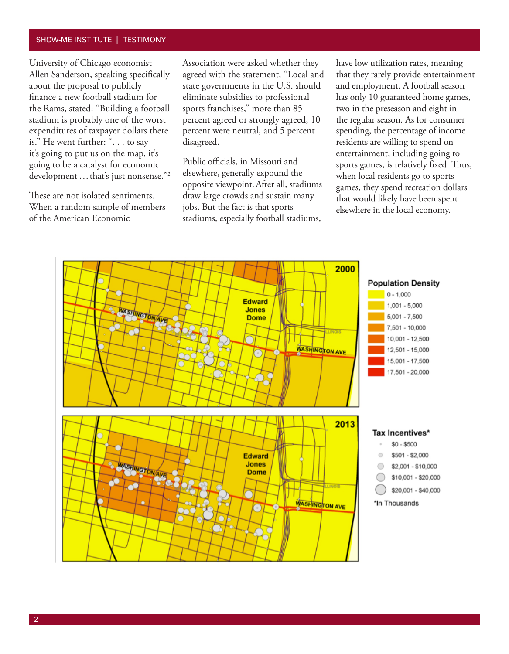### SHOW-ME INSTITUTE | TESTIMONY

University of Chicago economist Allen Sanderson, speaking specifically about the proposal to publicly finance a new football stadium for the Rams, stated: "Building a football stadium is probably one of the worst expenditures of taxpayer dollars there is." He went further: ". . . to say it's going to put us on the map, it's going to be a catalyst for economic development ... that's just nonsense."<sup>2</sup>

These are not isolated sentiments. When a random sample of members of the American Economic

Association were asked whether they agreed with the statement, "Local and state governments in the U.S. should eliminate subsidies to professional sports franchises," more than 85 percent agreed or strongly agreed, 10 percent were neutral, and 5 percent disagreed.

Public officials, in Missouri and elsewhere, generally expound the opposite viewpoint.After all, stadiums draw large crowds and sustain many jobs. But the fact is that sports stadiums, especially football stadiums,

have low utilization rates, meaning that they rarely provide entertainment and employment. A football season has only 10 guaranteed home games, two in the preseason and eight in the regular season. As for consumer spending, the percentage of income residents are willing to spend on entertainment, including going to sports games, is relatively fixed. Thus, when local residents go to sports games, they spend recreation dollars that would likely have been spent elsewhere in the local economy.

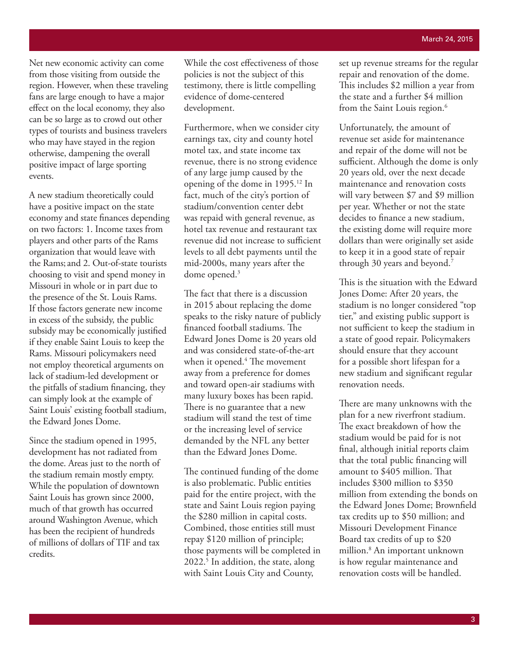Net new economic activity can come from those visiting from outside the region. However, when these traveling fans are large enough to have a major effect on the local economy, they also can be so large as to crowd out other types of tourists and business travelers who may have stayed in the region otherwise, dampening the overall positive impact of large sporting events.

A new stadium theoretically could have a positive impact on the state economy and state finances depending on two factors: 1. Income taxes from players and other parts of the Rams organization that would leave with the Rams; and 2. Out-of-state tourists choosing to visit and spend money in Missouri in whole or in part due to the presence of the St. Louis Rams. If those factors generate new income in excess of the subsidy, the public subsidy may be economically justified if they enable Saint Louis to keep the Rams. Missouri policymakers need not employ theoretical arguments on lack of stadium-led development or the pitfalls of stadium financing, they can simply look at the example of Saint Louis' existing football stadium, the Edward Jones Dome.

Since the stadium opened in 1995, development has not radiated from the dome. Areas just to the north of the stadium remain mostly empty. While the population of downtown Saint Louis has grown since 2000, much of that growth has occurred around Washington Avenue, which has been the recipient of hundreds of millions of dollars of TIF and tax credits.

While the cost effectiveness of those policies is not the subject of this testimony, there is little compelling evidence of dome-centered development.

Furthermore, when we consider city earnings tax, city and county hotel motel tax, and state income tax revenue, there is no strong evidence of any large jump caused by the opening of the dome in 1995.12 In fact, much of the city's portion of stadium/convention center debt was repaid with general revenue, as hotel tax revenue and restaurant tax revenue did not increase to sufficient levels to all debt payments until the mid-2000s, many years after the dome opened.3

The fact that there is a discussion in 2015 about replacing the dome speaks to the risky nature of publicly financed football stadiums. The Edward Jones Dome is 20 years old and was considered state-of-the-art when it opened.4 The movement away from a preference for domes and toward open-air stadiums with many luxury boxes has been rapid. There is no guarantee that a new stadium will stand the test of time or the increasing level of service demanded by the NFL any better than the Edward Jones Dome.

The continued funding of the dome is also problematic. Public entities paid for the entire project, with the state and Saint Louis region paying the \$280 million in capital costs. Combined, those entities still must repay \$120 million of principle; those payments will be completed in 2022.5 In addition, the state, along with Saint Louis City and County,

set up revenue streams for the regular repair and renovation of the dome. This includes \$2 million a year from the state and a further \$4 million from the Saint Louis region.<sup>6</sup>

Unfortunately, the amount of revenue set aside for maintenance and repair of the dome will not be sufficient. Although the dome is only 20 years old, over the next decade maintenance and renovation costs will vary between \$7 and \$9 million per year. Whether or not the state decides to finance a new stadium, the existing dome will require more dollars than were originally set aside to keep it in a good state of repair through 30 years and beyond.<sup>7</sup>

This is the situation with the Edward Jones Dome: After 20 years, the stadium is no longer considered "top tier," and existing public support is not sufficient to keep the stadium in a state of good repair. Policymakers should ensure that they account for a possible short lifespan for a new stadium and significant regular renovation needs.

There are many unknowns with the plan for a new riverfront stadium. The exact breakdown of how the stadium would be paid for is not final, although initial reports claim that the total public financing will amount to \$405 million. That includes \$300 million to \$350 million from extending the bonds on the Edward Jones Dome; Brownfield tax credits up to \$50 million; and Missouri Development Finance Board tax credits of up to \$20 million.8 An important unknown is how regular maintenance and renovation costs will be handled.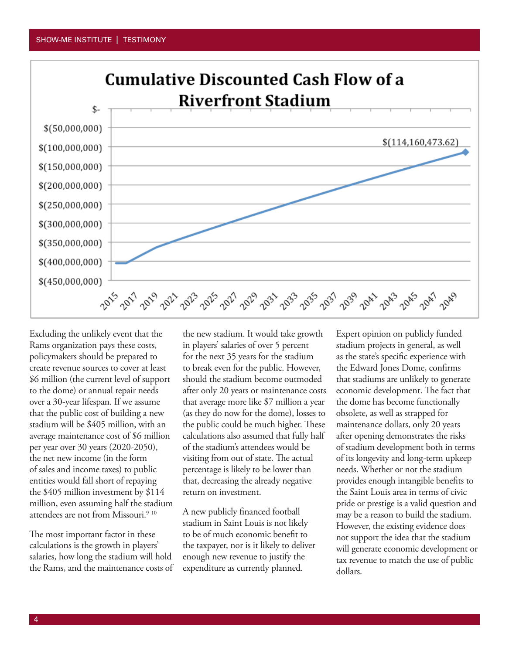

Excluding the unlikely event that the Rams organization pays these costs, policymakers should be prepared to create revenue sources to cover at least \$6 million (the current level of support to the dome) or annual repair needs over a 30-year lifespan. If we assume that the public cost of building a new stadium will be \$405 million, with an average maintenance cost of \$6 million per year over 30 years (2020-2050), the net new income (in the form of sales and income taxes) to public entities would fall short of repaying the \$405 million investment by \$114 million, even assuming half the stadium attendees are not from Missouri.<sup>9 10</sup>

The most important factor in these calculations is the growth in players' salaries, how long the stadium will hold the Rams, and the maintenance costs of the new stadium. It would take growth in players' salaries of over 5 percent for the next 35 years for the stadium to break even for the public. However, should the stadium become outmoded after only 20 years or maintenance costs that average more like \$7 million a year (as they do now for the dome), losses to the public could be much higher. These calculations also assumed that fully half of the stadium's attendees would be visiting from out of state. The actual percentage is likely to be lower than that, decreasing the already negative return on investment.

A new publicly financed football stadium in Saint Louis is not likely to be of much economic benefit to the taxpayer, nor is it likely to deliver enough new revenue to justify the expenditure as currently planned.

Expert opinion on publicly funded stadium projects in general, as well as the state's specific experience with the Edward Jones Dome, confirms that stadiums are unlikely to generate economic development. The fact that the dome has become functionally obsolete, as well as strapped for maintenance dollars, only 20 years after opening demonstrates the risks of stadium development both in terms of its longevity and long-term upkeep needs. Whether or not the stadium provides enough intangible benefits to the Saint Louis area in terms of civic pride or prestige is a valid question and may be a reason to build the stadium. However, the existing evidence does not support the idea that the stadium will generate economic development or tax revenue to match the use of public dollars.